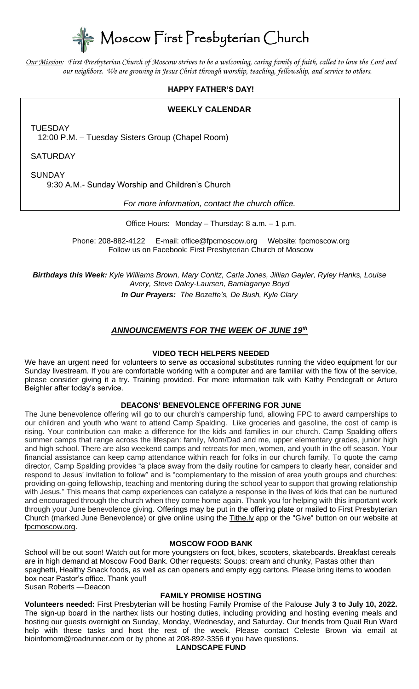Moscow First Presbyterian Church

*Our Mission: First Presbyterian Church of Moscow strives to be a welcoming, caring family of faith, called to love the Lord and our neighbors. We are growing in Jesus Christ through worship, teaching, fellowship, and service to others.*

## **HAPPY FATHER'S DAY!**

## **WEEKLY CALENDAR**

TUESDAY

12:00 P.M. – Tuesday Sisters Group (Chapel Room)

**SATURDAY** 

**SUNDAY** 

9:30 A.M.- Sunday Worship and Children's Church

*For more information, contact the church office.*

Office Hours: Monday – Thursday: 8 a.m. – 1 p.m.

Phone: 208-882-4122 E-mail: office@fpcmoscow.org Website: fpcmoscow.org Follow us on Facebook: First Presbyterian Church of Moscow

*Birthdays this Week: Kyle Williams Brown, Mary Conitz, Carla Jones, Jillian Gayler, Ryley Hanks, Louise Avery, Steve Daley-Laursen, Barnlaganye Boyd In Our Prayers: The Bozette's, De Bush, Kyle Clary*

# *ANNOUNCEMENTS FOR THE WEEK OF JUNE 19th*

#### **VIDEO TECH HELPERS NEEDED**

We have an urgent need for volunteers to serve as occasional substitutes running the video equipment for our Sunday livestream. If you are comfortable working with a computer and are familiar with the flow of the service, please consider giving it a try. Training provided. For more information talk with Kathy Pendegraft or Arturo Beighler after today's service.

#### **DEACONS' BENEVOLENCE OFFERING FOR JUNE**

The June benevolence offering will go to our church's campership fund, allowing FPC to award camperships to our children and youth who want to attend Camp Spalding. Like groceries and gasoline, the cost of camp is rising. Your contribution can make a difference for the kids and families in our church. Camp Spalding offers summer camps that range across the lifespan: family, Mom/Dad and me, upper elementary grades, junior high and high school. There are also weekend camps and retreats for men, women, and youth in the off season. Your financial assistance can keep camp attendance within reach for folks in our church family. To quote the camp director, Camp Spalding provides "a place away from the daily routine for campers to clearly hear, consider and respond to Jesus' invitation to follow" and is "complementary to the mission of area youth groups and churches: providing on-going fellowship, teaching and mentoring during the school year to support that growing relationship with Jesus." This means that camp experiences can catalyze a response in the lives of kids that can be nurtured and encouraged through the church when they come home again. Thank you for helping with this important work through your June benevolence giving. Offerings may be put in the offering plate or mailed to First Presbyterian Church (marked June Benevolence) or give online using the Tithe.ly app or the "Give" button on our website at fpcmoscow.org.

#### **MOSCOW FOOD BANK**

School will be out soon! Watch out for more youngsters on foot, bikes, scooters, skateboards. Breakfast cereals are in high demand at Moscow Food Bank. Other requests: Soups: cream and chunky, Pastas other than spaghetti, Healthy Snack foods, as well as can openers and empty egg cartons. Please bring items to wooden box near Pastor's office. Thank you!! Susan Roberts —Deacon

#### **FAMILY PROMISE HOSTING**

**Volunteers needed:** First Presbyterian will be hosting Family Promise of the Palouse **July 3 to July 10, 2022.** The sign-up board in the narthex lists our hosting duties, including providing and hosting evening meals and hosting our guests overnight on Sunday, Monday, Wednesday, and Saturday. Our friends from Quail Run Ward help with these tasks and host the rest of the week. Please contact Celeste Brown via email at bioinfomom@roadrunner.com or by phone at 208-892-3356 if you have questions.

**LANDSCAPE FUND**